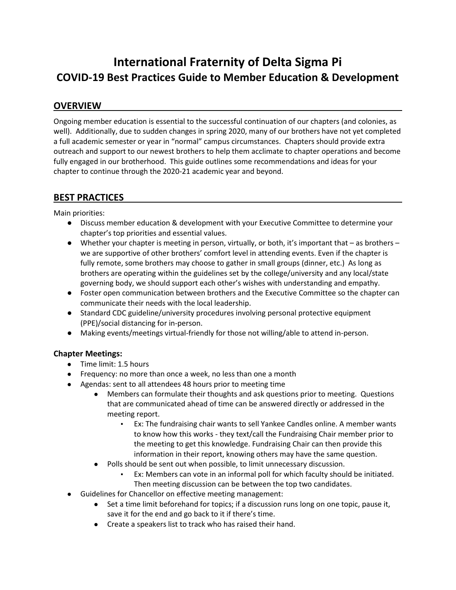# **International Fraternity of Delta Sigma Pi COVID-19 Best Practices Guide to Member Education & Development**

## **OVERVIEW**

Ongoing member education is essential to the successful continuation of our chapters (and colonies, as well). Additionally, due to sudden changes in spring 2020, many of our brothers have not yet completed a full academic semester or year in "normal" campus circumstances. Chapters should provide extra outreach and support to our newest brothers to help them acclimate to chapter operations and become fully engaged in our brotherhood. This guide outlines some recommendations and ideas for your chapter to continue through the 2020-21 academic year and beyond.

## **BEST PRACTICES**

Main priorities:

- Discuss member education & development with your Executive Committee to determine your chapter's top priorities and essential values.
- Whether your chapter is meeting in person, virtually, or both, it's important that as brothers we are supportive of other brothers' comfort level in attending events. Even if the chapter is fully remote, some brothers may choose to gather in small groups (dinner, etc.) As long as brothers are operating within the guidelines set by the college/university and any local/state governing body, we should support each other's wishes with understanding and empathy.
- Foster open communication between brothers and the Executive Committee so the chapter can communicate their needs with the local leadership.
- Standard CDC guideline/university procedures involving personal protective equipment (PPE)/social distancing for in-person.
- Making events/meetings virtual-friendly for those not willing/able to attend in-person.

#### **Chapter Meetings:**

- Time limit: 1.5 hours
- Frequency: no more than once a week, no less than one a month
- Agendas: sent to all attendees 48 hours prior to meeting time
	- Members can formulate their thoughts and ask questions prior to meeting. Questions that are communicated ahead of time can be answered directly or addressed in the meeting report.
		- Ex: The fundraising chair wants to sell Yankee Candles online. A member wants to know how this works - they text/call the Fundraising Chair member prior to the meeting to get this knowledge. Fundraising Chair can then provide this information in their report, knowing others may have the same question.
	- Polls should be sent out when possible, to limit unnecessary discussion.
		- Ex: Members can vote in an informal poll for which faculty should be initiated. Then meeting discussion can be between the top two candidates.
- Guidelines for Chancellor on effective meeting management:
	- Set a time limit beforehand for topics; if a discussion runs long on one topic, pause it, save it for the end and go back to it if there's time.
	- Create a speakers list to track who has raised their hand.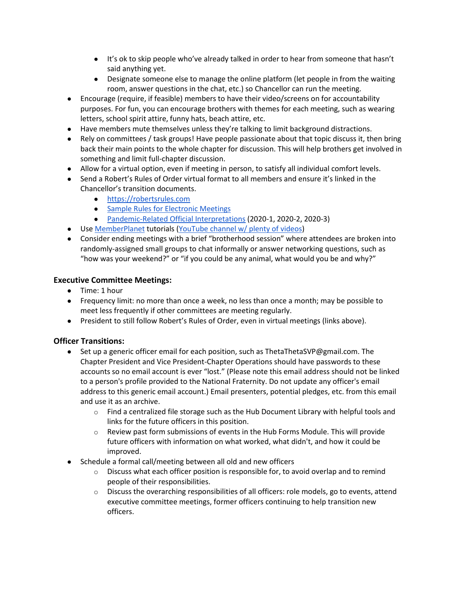- It's ok to skip people who've already talked in order to hear from someone that hasn't said anything yet.
- Designate someone else to manage the online platform (let people in from the waiting room, answer questions in the chat, etc.) so Chancellor can run the meeting.
- Encourage (require, if feasible) members to have their video/screens on for accountability purposes. For fun, you can encourage brothers with themes for each meeting, such as wearing letters, school spirit attire, funny hats, beach attire, etc.
- Have members mute themselves unless they're talking to limit background distractions.
- Rely on committees / task groups! Have people passionate about that topic discuss it, then bring back their main points to the whole chapter for discussion. This will help brothers get involved in something and limit full-chapter discussion.
- Allow for a virtual option, even if meeting in person, to satisfy all individual comfort levels.
- Send a Robert's Rules of Order virtual format to all members and ensure it's linked in the Chancellor's transition documents.
	- [https://robertsrules.com](https://robertsrules.com/)
	- [Sample Rules for Electronic Meetings](https://robertsrules.com/pdfs/electronic-meeting-sample-rules.pdf)
	- [Pandemic-Related Official Interpretations](https://robertsrules.com/interp_list.html#2020_1) (2020-1, 2020-2, 2020-3)
- Use [MemberPlanet](http://deltasigmapi.memberplanet.com/) tutorials [\(YouTube channel w/ plenty of videos\)](https://www.youtube.com/channel/UCQpx7kBrCBNeOMtxZ8eB6Ww)
- Consider ending meetings with a brief "brotherhood session" where attendees are broken into randomly-assigned small groups to chat informally or answer networking questions, such as "how was your weekend?" or "if you could be any animal, what would you be and why?"

#### **Executive Committee Meetings:**

- Time: 1 hour
- Frequency limit: no more than once a week, no less than once a month; may be possible to meet less frequently if other committees are meeting regularly.
- President to still follow Robert's Rules of Order, even in virtual meetings (links above).

## **Officer Transitions:**

- Set up a generic officer email for each position, such as ThetaThetaSVP@gmail.com. The Chapter President and Vice President-Chapter Operations should have passwords to these accounts so no email account is ever "lost." (Please note this email address should not be linked to a person's profile provided to the National Fraternity. Do not update any officer's email address to this generic email account.) Email presenters, potential pledges, etc. from this email and use it as an archive.
	- $\circ$  Find a centralized file storage such as the Hub Document Library with helpful tools and links for the future officers in this position.
	- $\circ$  Review past form submissions of events in the Hub Forms Module. This will provide future officers with information on what worked, what didn't, and how it could be improved.
- Schedule a formal call/meeting between all old and new officers
	- $\circ$  Discuss what each officer position is responsible for, to avoid overlap and to remind people of their responsibilities.
	- $\circ$  Discuss the overarching responsibilities of all officers: role models, go to events, attend executive committee meetings, former officers continuing to help transition new officers.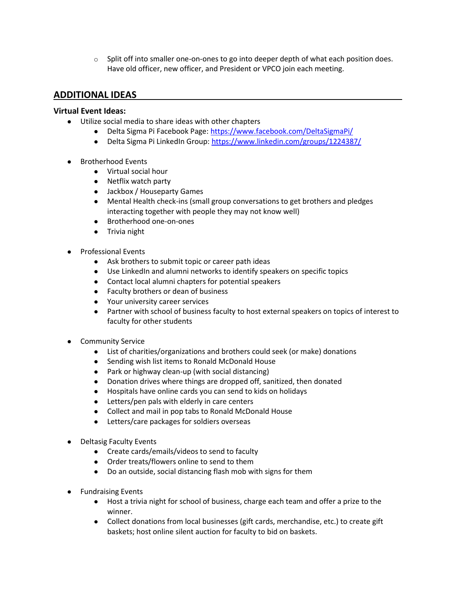$\circ$  Split off into smaller one-on-ones to go into deeper depth of what each position does. Have old officer, new officer, and President or VPCO join each meeting.

## **ADDITIONAL IDEAS**

#### **Virtual Event Ideas:**

- Utilize social media to share ideas with other chapters
	- Delta Sigma Pi Facebook Page[: https://www.facebook.com/DeltaSigmaPi/](https://www.facebook.com/DeltaSigmaPi/)
	- Delta Sigma Pi LinkedIn Group:<https://www.linkedin.com/groups/1224387/>
- **Brotherhood Events** 
	- Virtual social hour
	- Netflix watch party
	- Jackbox / Houseparty Games
	- Mental Health check-ins (small group conversations to get brothers and pledges interacting together with people they may not know well)
	- Brotherhood one-on-ones
	- Trivia night
- Professional Events
	- Ask brothers to submit topic or career path ideas
	- Use LinkedIn and alumni networks to identify speakers on specific topics
	- Contact local alumni chapters for potential speakers
	- Faculty brothers or dean of business
	- Your university career services
	- Partner with school of business faculty to host external speakers on topics of interest to faculty for other students
- **Community Service** 
	- List of charities/organizations and brothers could seek (or make) donations
	- Sending wish list items to Ronald McDonald House
	- Park or highway clean-up (with social distancing)
	- Donation drives where things are dropped off, sanitized, then donated
	- Hospitals have online cards you can send to kids on holidays
	- Letters/pen pals with elderly in care centers
	- Collect and mail in pop tabs to Ronald McDonald House
	- Letters/care packages for soldiers overseas
- **Deltasig Faculty Events** 
	- Create cards/emails/videos to send to faculty
	- Order treats/flowers online to send to them
	- Do an outside, social distancing flash mob with signs for them
- **Fundraising Events** 
	- Host a trivia night for school of business, charge each team and offer a prize to the winner.
	- Collect donations from local businesses (gift cards, merchandise, etc.) to create gift baskets; host online silent auction for faculty to bid on baskets.